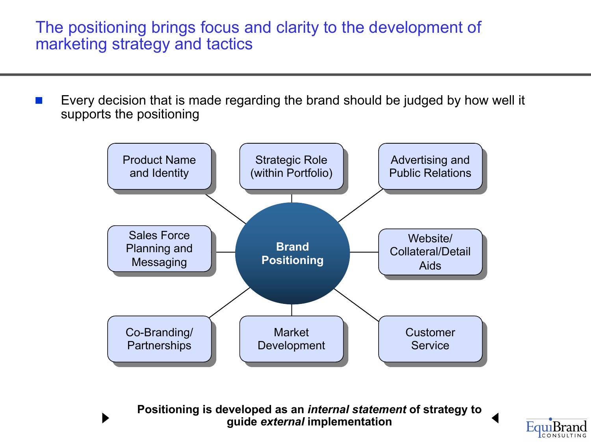The positioning brings focus and clarity to the development of marketing strategy and tactics

Every decision that is made regarding the brand should be judged by how well it supports the positioning



**Positioning is developed as an** *internal statement* **of strategy to guide** *external* **implementation**

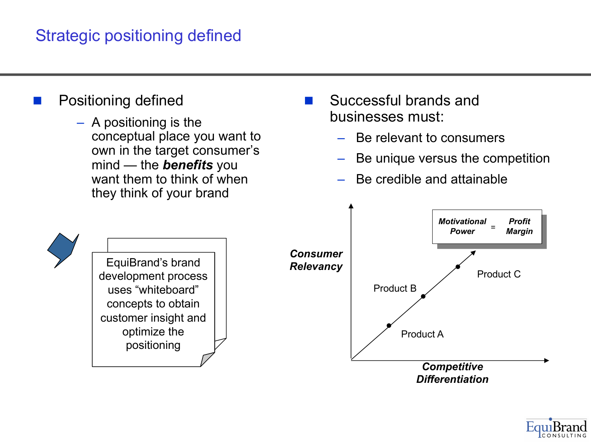## Strategic positioning defined

- Positioning defined
	- A positioning is the conceptual place you want to own in the target consumer's mind — the *benefits* you want them to think of when they think of your brand
- Successful brands and businesses must:
	- Be relevant to consumers
	- Be unique versus the competition
	- Be credible and attainable



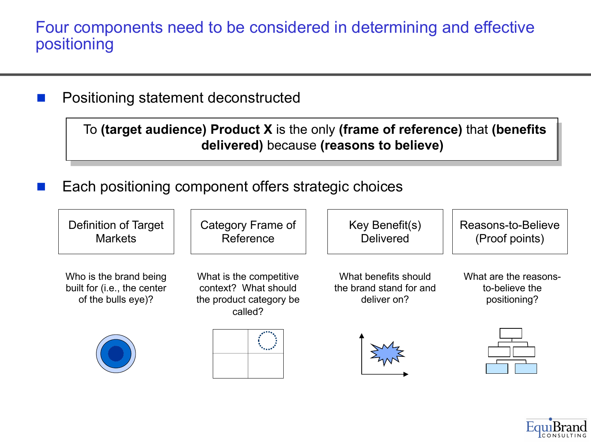Four components need to be considered in determining and effective positioning

Positioning statement deconstructed

To **(target audience) Product X** is the only **(frame of reference)** that **(benefits delivered)** because **(reasons to believe)**

Each positioning component offers strategic choices



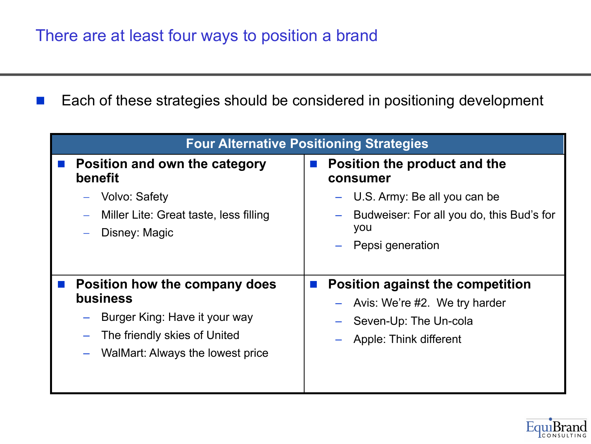■ Each of these strategies should be considered in positioning development

| <b>Four Alternative Positioning Strategies</b>          |                                                                                                |
|---------------------------------------------------------|------------------------------------------------------------------------------------------------|
| Position and own the category<br><b>benefit</b>         | Position the product and the<br>consumer                                                       |
| <b>Volvo: Safety</b>                                    | U.S. Army: Be all you can be                                                                   |
| Miller Lite: Great taste, less filling<br>Disney: Magic | Budweiser: For all you do, this Bud's for<br>you                                               |
|                                                         | Pepsi generation                                                                               |
|                                                         |                                                                                                |
| Position how the company does<br><b>business</b>        | <b>Position against the competition</b><br>$\mathbb{R}^n$<br>$-$ Avis: We're #2. We try harder |
| Burger King: Have it your way                           | Seven-Up: The Un-cola                                                                          |
| The friendly skies of United                            | Apple: Think different                                                                         |
| WalMart: Always the lowest price                        |                                                                                                |
|                                                         |                                                                                                |